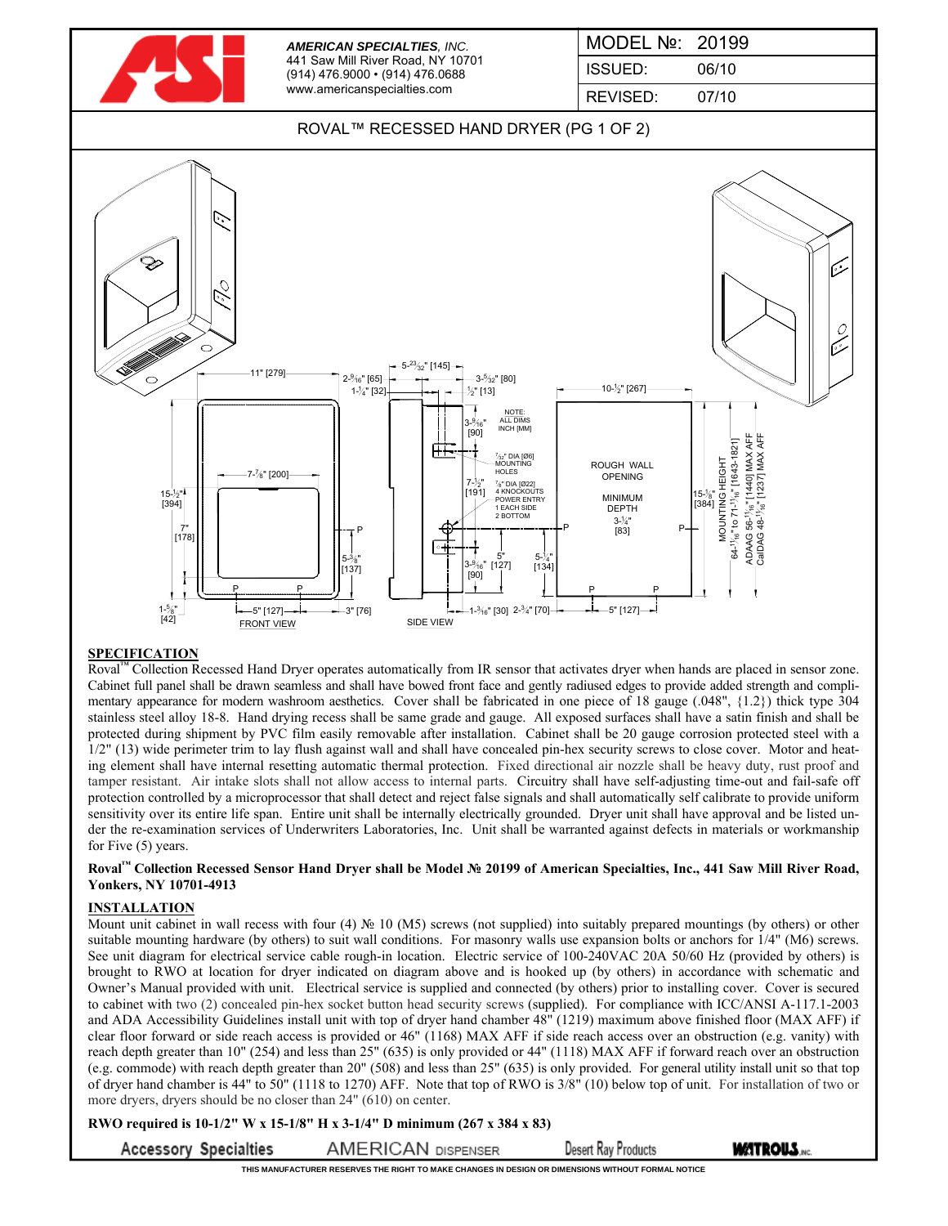

## ROVAL™ RECESSED HAND DRYER (PG 1 OF 2)



### **SPECIFICATION**

Roval<sup>™</sup> Collection Recessed Hand Dryer operates automatically from IR sensor that activates dryer when hands are placed in sensor zone. Cabinet full panel shall be drawn seamless and shall have bowed front face and gently radiused edges to provide added strength and complimentary appearance for modern washroom aesthetics. Cover shall be fabricated in one piece of 18 gauge (.048", {1.2}) thick type 304 stainless steel alloy 18-8. Hand drying recess shall be same grade and gauge. All exposed surfaces shall have a satin finish and shall be protected during shipment by PVC film easily removable after installation. Cabinet shall be 20 gauge corrosion protected steel with a 1/2" (13) wide perimeter trim to lay flush against wall and shall have concealed pin-hex security screws to close cover. Motor and heating element shall have internal resetting automatic thermal protection. Fixed directional air nozzle shall be heavy duty, rust proof and tamper resistant. Air intake slots shall not allow access to internal parts. Circuitry shall have self-adjusting time-out and fail-safe off protection controlled by a microprocessor that shall detect and reject false signals and shall automatically self calibrate to provide uniform sensitivity over its entire life span. Entire unit shall be internally electrically grounded. Dryer unit shall have approval and be listed under the re-examination services of Underwriters Laboratories, Inc. Unit shall be warranted against defects in materials or workmanship for Five (5) years.

#### **Roval™ Collection Recessed Sensor Hand Dryer shall be Model № 20199 of American Specialties, Inc., 441 Saw Mill River Road, Yonkers, NY 10701-4913**

### **INSTALLATION**

Mount unit cabinet in wall recess with four (4)  $\mathbb{N}^{\circ}$  10 (M5) screws (not supplied) into suitably prepared mountings (by others) or other suitable mounting hardware (by others) to suit wall conditions. For masonry walls use expansion bolts or anchors for 1/4" (M6) screws. See unit diagram for electrical service cable rough-in location. Electric service of 100-240VAC 20A 50/60 Hz (provided by others) is brought to RWO at location for dryer indicated on diagram above and is hooked up (by others) in accordance with schematic and Owner's Manual provided with unit. Electrical service is supplied and connected (by others) prior to installing cover. Cover is secured to cabinet with two (2) concealed pin-hex socket button head security screws (supplied). For compliance with ICC/ANSI A-117.1-2003 and ADA Accessibility Guidelines install unit with top of dryer hand chamber 48" (1219) maximum above finished floor (MAX AFF) if clear floor forward or side reach access is provided or 46" (1168) MAX AFF if side reach access over an obstruction (e.g. vanity) with reach depth greater than 10" (254) and less than 25" (635) is only provided or 44" (1118) MAX AFF if forward reach over an obstruction (e.g. commode) with reach depth greater than 20" (508) and less than 25" (635) is only provided. For general utility install unit so that top of dryer hand chamber is 44" to 50" (1118 to 1270) AFF. Note that top of RWO is 3/8" (10) below top of unit. For installation of two or more dryers, dryers should be no closer than 24" (610) on center.

**RWO required is 10-1/2" W x 15-1/8" H x 3-1/4" D minimum (267 x 384 x 83)**

**Accessory Specialties** 

**AMERICAN DISPENSER Desert Ray Products**  **MATROUS.** 

**THIS MANUFACTURER RESERVES THE RIGHT TO MAKE CHANGES IN DESIGN OR DIMENSIONS WITHOUT FORMAL NOTICE**